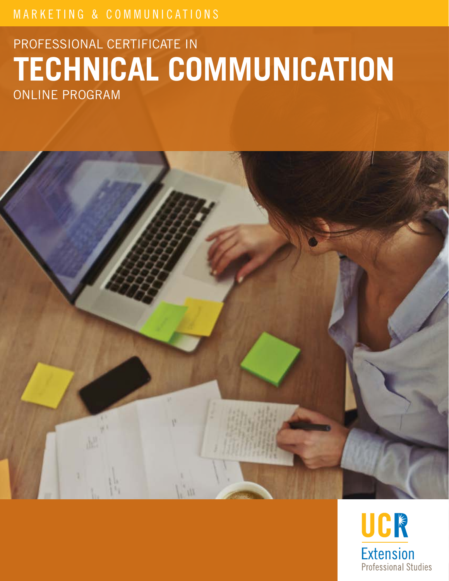# MARKETING & COMMUNICATIONS

# PROFESSIONAL CERTIFICATE IN **TECHNICAL COMMUNICATION** ONLINE PROGRAM